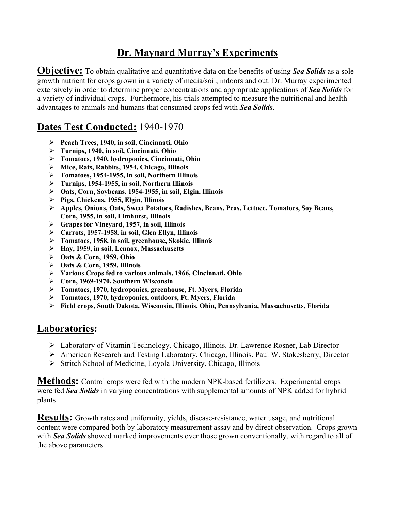## **Dr. Maynard Murray's Experiments**

**Objective:** To obtain qualitative and quantitative data on the benefits of using **Sea Solids** as a sole growth nutrient for crops grown in a variety of media/soil, indoors and out. Dr. Murray experimented extensively in order to determine proper concentrations and appropriate applications of *Sea Solids* for a variety of individual crops. Furthermore, his trials attempted to measure the nutritional and health advantages to animals and humans that consumed crops fed with *Sea Solids*.

## **Dates Test Conducted:** 1940-1970

- ÿ **Peach Trees, 1940, in soil, Cincinnati, Ohio**
- ÿ **Turnips, 1940, in soil, Cincinnati, Ohio**
- ÿ **Tomatoes, 1940, hydroponics, Cincinnati, Ohio**
- ÿ **Mice, Rats, Rabbits, 1954, Chicago, Illinois**
- ÿ **Tomatoes, 1954-1955, in soil, Northern Illinois**
- ÿ **Turnips, 1954-1955, in soil, Northern Illinois**
- ÿ **Oats, Corn, Soybeans, 1954-1955, in soil, Elgin, Illinois**
- ÿ **Pigs, Chickens, 1955, Elgin, Illinois**
- ÿ **Apples, Onions, Oats, Sweet Potatoes, Radishes, Beans, Peas, Lettuce, Tomatoes, Soy Beans, Corn, 1955, in soil, Elmhurst, Illinois**
- ÿ **Grapes for Vineyard, 1957, in soil, Illinois**
- ÿ **Carrots, 1957-1958, in soil, Glen Ellyn, Illinois**
- ÿ **Tomatoes, 1958, in soil, greenhouse, Skokie, Illinois**
- ÿ **Hay, 1959, in soil, Lennox, Massachusetts**
- ÿ **Oats & Corn, 1959, Ohio**
- ÿ **Oats & Corn, 1959, Illinois**
- ÿ **Various Crops fed to various animals, 1966, Cincinnati, Ohio**
- ÿ **Corn, 1969-1970, Southern Wisconsin**
- ÿ **Tomatoes, 1970, hydroponics, greenhouse, Ft. Myers, Florida**
- ÿ **Tomatoes, 1970, hydroponics, outdoors, Ft. Myers, Florida**
- ÿ **Field crops, South Dakota, Wisconsin, Illinois, Ohio, Pennsylvania, Massachusetts, Florida**

## **Laboratories:**

- ÿ Laboratory of Vitamin Technology, Chicago, Illinois. Dr. Lawrence Rosner, Lab Director
- ÿ American Research and Testing Laboratory, Chicago, Illinois. Paul W. Stokesberry, Director
- $\triangleright$  Stritch School of Medicine, Loyola University, Chicago, Illinois

**Methods:** Control crops were fed with the modern NPK-based fertilizers. Experimental crops were fed *Sea Solids* in varying concentrations with supplemental amounts of NPK added for hybrid plants

**Results:** Growth rates and uniformity, yields, disease-resistance, water usage, and nutritional content were compared both by laboratory measurement assay and by direct observation. Crops grown with *Sea Solids* showed marked improvements over those grown conventionally, with regard to all of the above parameters.